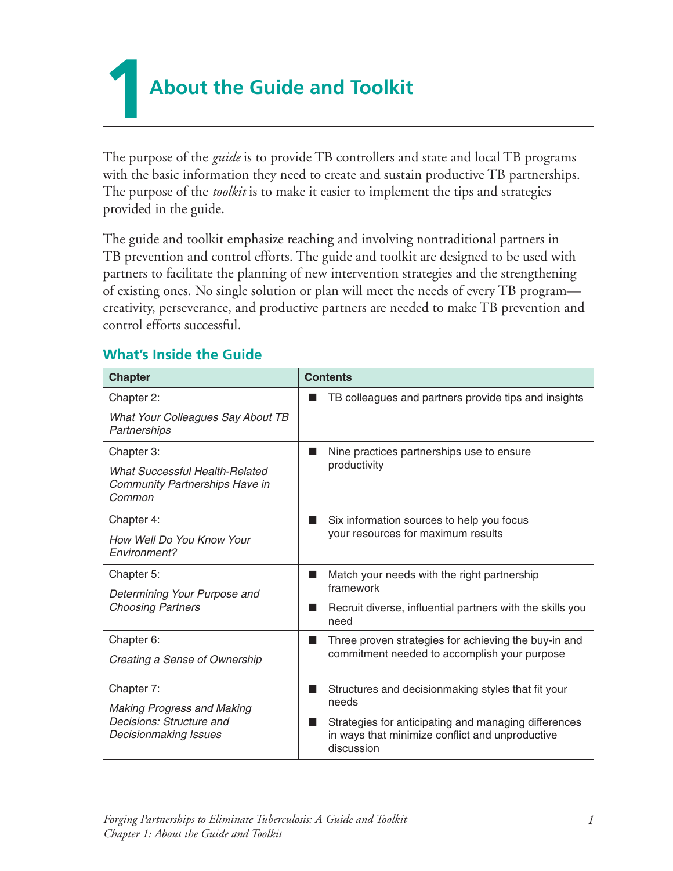**1About the Guide and Toolkit** 

The purpose of the *guide* is to provide TB controllers and state and local TB programs with the basic information they need to create and sustain productive TB partnerships. The purpose of the *toolkit* is to make it easier to implement the tips and strategies provided in the guide.

The guide and toolkit emphasize reaching and involving nontraditional partners in TB prevention and control efforts. The guide and toolkit are designed to be used with partners to facilitate the planning of new intervention strategies and the strengthening of existing ones. No single solution or plan will meet the needs of every TB program creativity, perseverance, and productive partners are needed to make TB prevention and control efforts successful. 

## **What's Inside the Guide**

| <b>Chapter</b>                                                                           | <b>Contents</b>                                                                                                       |
|------------------------------------------------------------------------------------------|-----------------------------------------------------------------------------------------------------------------------|
| Chapter 2:                                                                               | TB colleagues and partners provide tips and insights                                                                  |
| What Your Colleagues Say About TB<br>Partnerships                                        |                                                                                                                       |
| Chapter 3:                                                                               | Nine practices partnerships use to ensure<br>productivity                                                             |
| <b>What Successful Health-Related</b><br><b>Community Partnerships Have in</b><br>Common |                                                                                                                       |
| Chapter 4:                                                                               | Six information sources to help you focus<br>ш<br>your resources for maximum results                                  |
| How Well Do You Know Your<br>Environment?                                                |                                                                                                                       |
| Chapter 5:                                                                               | Match your needs with the right partnership<br>ш<br>framework                                                         |
| Determining Your Purpose and                                                             |                                                                                                                       |
| <b>Choosing Partners</b>                                                                 | Recruit diverse, influential partners with the skills you<br>need                                                     |
| Chapter 6:                                                                               | Three proven strategies for achieving the buy-in and<br>n.<br>commitment needed to accomplish your purpose            |
| Creating a Sense of Ownership                                                            |                                                                                                                       |
| Chapter 7:                                                                               | Structures and decisionmaking styles that fit your<br>■                                                               |
| <b>Making Progress and Making</b>                                                        | needs                                                                                                                 |
| Decisions: Structure and<br>Decisionmaking Issues                                        | Strategies for anticipating and managing differences<br>in ways that minimize conflict and unproductive<br>discussion |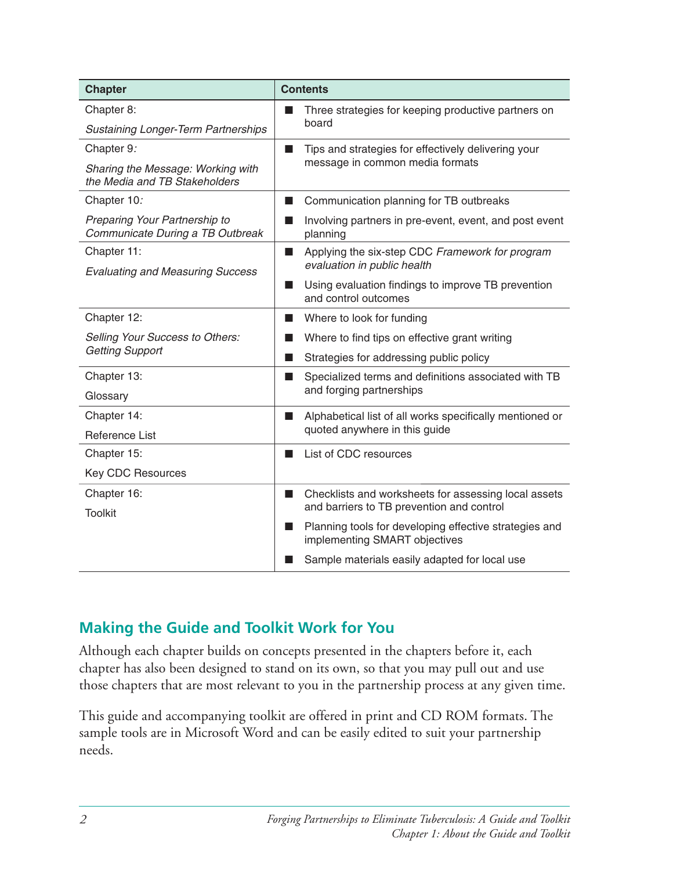| <b>Chapter</b>                                                     | <b>Contents</b>                                                                                                       |
|--------------------------------------------------------------------|-----------------------------------------------------------------------------------------------------------------------|
| Chapter 8:                                                         | Three strategies for keeping productive partners on<br>board                                                          |
| <b>Sustaining Longer-Term Partnerships</b>                         |                                                                                                                       |
| Chapter 9:                                                         | Tips and strategies for effectively delivering your<br>$\blacksquare$<br>message in common media formats              |
| Sharing the Message: Working with<br>the Media and TB Stakeholders |                                                                                                                       |
| Chapter 10:                                                        | Communication planning for TB outbreaks<br>ш                                                                          |
| Preparing Your Partnership to<br>Communicate During a TB Outbreak  | Involving partners in pre-event, event, and post event<br>■<br>planning                                               |
| Chapter 11:<br><b>Evaluating and Measuring Success</b>             | Applying the six-step CDC Framework for program<br>ш<br>evaluation in public health                                   |
|                                                                    | Using evaluation findings to improve TB prevention<br>and control outcomes                                            |
| Chapter 12:                                                        | Where to look for funding<br>ш                                                                                        |
| <b>Selling Your Success to Others:</b><br><b>Getting Support</b>   | Where to find tips on effective grant writing                                                                         |
|                                                                    | Strategies for addressing public policy<br><b>In the Second State</b>                                                 |
| Chapter 13:                                                        | Specialized terms and definitions associated with TB<br>- 1<br>and forging partnerships                               |
| Glossary                                                           |                                                                                                                       |
| Chapter 14:                                                        | Alphabetical list of all works specifically mentioned or<br>■<br>quoted anywhere in this guide                        |
| <b>Reference List</b>                                              |                                                                                                                       |
| Chapter 15:                                                        | List of CDC resources<br>■                                                                                            |
| <b>Key CDC Resources</b>                                           |                                                                                                                       |
| Chapter 16:                                                        | Checklists and worksheets for assessing local assets<br><b>The State</b><br>and barriers to TB prevention and control |
| <b>Toolkit</b>                                                     |                                                                                                                       |
|                                                                    | Planning tools for developing effective strategies and<br>ш<br>implementing SMART objectives                          |
|                                                                    | Sample materials easily adapted for local use                                                                         |

## **Making the Guide and Toolkit Work for You**

Although each chapter builds on concepts presented in the chapters before it, each chapter has also been designed to stand on its own, so that you may pull out and use those chapters that are most relevant to you in the partnership process at any given time.

This guide and accompanying toolkit are offered in print and CD ROM formats. The sample tools are in Microsoft Word and can be easily edited to suit your partnership needs.